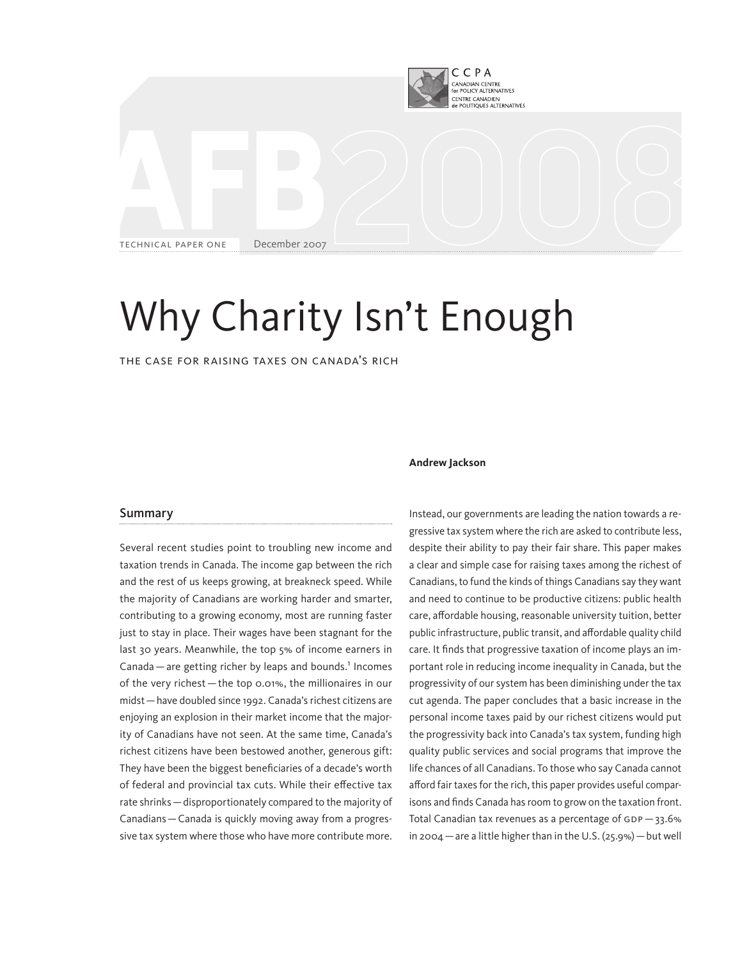

# Why Charity Isn't Enough

The Case for Raising Taxes on Canada's Rich

#### Summary

Several recent studies point to troubling new income and taxation trends in Canada. The income gap between the rich and the rest of us keeps growing, at breakneck speed. While the majority of Canadians are working harder and smarter, contributing to a growing economy, most are running faster just to stay in place. Their wages have been stagnant for the last 30 years. Meanwhile, the top 5% of income earners in Canada  $-$  are getting richer by leaps and bounds.<sup>1</sup> Incomes of the very richest—the top 0.01%, the millionaires in our midst—have doubled since 1992. Canada's richest citizens are enjoying an explosion in their market income that the majority of Canadians have not seen. At the same time, Canada's richest citizens have been bestowed another, generous gift: They have been the biggest beneficiaries of a decade's worth of federal and provincial tax cuts. While their effective tax rate shrinks—disproportionately compared to the majority of Canadians—Canada is quickly moving away from a progressive tax system where those who have more contribute more.

#### **Andrew Jackson**

Instead, our governments are leading the nation towards a regressive tax system where the rich are asked to contribute less, despite their ability to pay their fair share. This paper makes a clear and simple case for raising taxes among the richest of Canadians, to fund the kinds of things Canadians say they want and need to continue to be productive citizens: public health care, affordable housing, reasonable university tuition, better public infrastructure, public transit, and affordable quality child care. It finds that progressive taxation of income plays an important role in reducing income inequality in Canada, but the progressivity of our system has been diminishing under the tax cut agenda. The paper concludes that a basic increase in the personal income taxes paid by our richest citizens would put the progressivity back into Canada's tax system, funding high quality public services and social programs that improve the life chances of all Canadians. To those who say Canada cannot afford fair taxes for the rich, this paper provides useful comparisons and finds Canada has room to grow on the taxation front. Total Canadian tax revenues as a percentage of GDP —33.6% in 2004 — are a little higher than in the U.S.  $(25.9%)$  — but well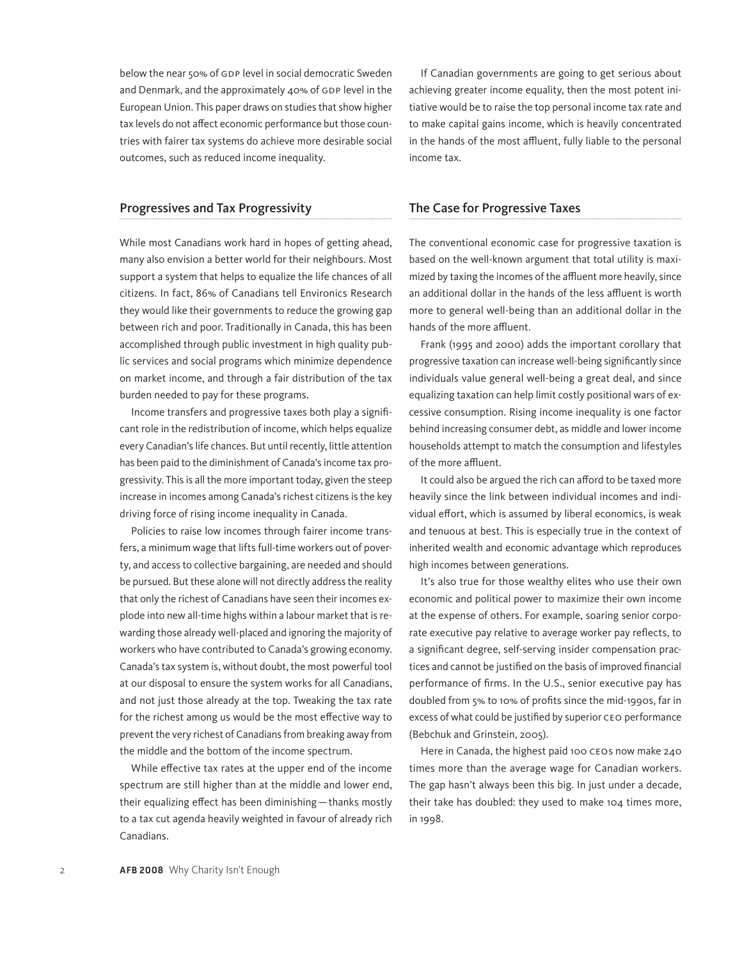below the near 50% of GDP level in social democratic Sweden and Denmark, and the approximately 40% of GDP level in the European Union. This paper draws on studies that show higher tax levels do not affect economic performance but those countries with fairer tax systems do achieve more desirable social outcomes, such as reduced income inequality.

## Progressives and Tax Progressivity

While most Canadians work hard in hopes of getting ahead, many also envision a better world for their neighbours. Most support a system that helps to equalize the life chances of all citizens. In fact, 86% of Canadians tell Environics Research they would like their governments to reduce the growing gap between rich and poor. Traditionally in Canada, this has been accomplished through public investment in high quality public services and social programs which minimize dependence on market income, and through a fair distribution of the tax burden needed to pay for these programs.

Income transfers and progressive taxes both play a significant role in the redistribution of income, which helps equalize every Canadian's life chances. But until recently, little attention has been paid to the diminishment of Canada's income tax progressivity. This is all the more important today, given the steep increase in incomes among Canada's richest citizens is the key driving force of rising income inequality in Canada.

Policies to raise low incomes through fairer income transfers, a minimum wage that lifts full-time workers out of poverty, and access to collective bargaining, are needed and should be pursued. But these alone will not directly address the reality that only the richest of Canadians have seen their incomes explode into new all-time highs within a labour market that is rewarding those already well-placed and ignoring the majority of workers who have contributed to Canada's growing economy. Canada's tax system is, without doubt, the most powerful tool at our disposal to ensure the system works for all Canadians, and not just those already at the top. Tweaking the tax rate for the richest among us would be the most effective way to prevent the very richest of Canadians from breaking away from the middle and the bottom of the income spectrum.

While effective tax rates at the upper end of the income spectrum are still higher than at the middle and lower end, their equalizing effect has been diminishing—thanks mostly to a tax cut agenda heavily weighted in favour of already rich Canadians.

If Canadian governments are going to get serious about achieving greater income equality, then the most potent initiative would be to raise the top personal income tax rate and to make capital gains income, which is heavily concentrated in the hands of the most affluent, fully liable to the personal income tax.

### The Case for Progressive Taxes

The conventional economic case for progressive taxation is based on the well-known argument that total utility is maximized by taxing the incomes of the affluent more heavily, since an additional dollar in the hands of the less affluent is worth more to general well-being than an additional dollar in the hands of the more affluent.

Frank (1995 and 2000) adds the important corollary that progressive taxation can increase well-being significantly since individuals value general well-being a great deal, and since equalizing taxation can help limit costly positional wars of excessive consumption. Rising income inequality is one factor behind increasing consumer debt, as middle and lower income households attempt to match the consumption and lifestyles of the more affluent.

It could also be argued the rich can afford to be taxed more heavily since the link between individual incomes and individual effort, which is assumed by liberal economics, is weak and tenuous at best. This is especially true in the context of inherited wealth and economic advantage which reproduces high incomes between generations.

It's also true for those wealthy elites who use their own economic and political power to maximize their own income at the expense of others. For example, soaring senior corporate executive pay relative to average worker pay reflects, to a significant degree, self-serving insider compensation practices and cannot be justified on the basis of improved financial performance of firms. In the U.S., senior executive pay has doubled from 5% to 10% of profits since the mid-1990s, far in excess of what could be justified by superior CEO performance (Bebchuk and Grinstein, 2005).

Here in Canada, the highest paid 100 CEOs now make 240 times more than the average wage for Canadian workers. The gap hasn't always been this big. In just under a decade, their take has doubled: they used to make 104 times more, in 1998.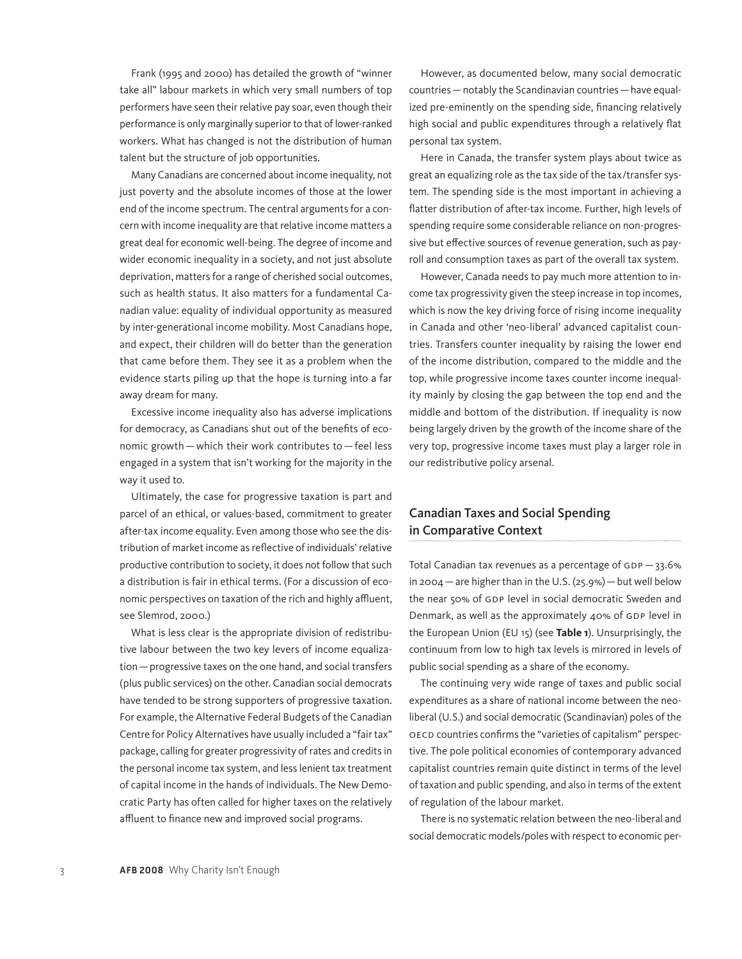Frank (1995 and 2000) has detailed the growth of "winner take all" labour markets in which very small numbers of top performers have seen their relative pay soar, even though their performance is only marginally superior to that of lower-ranked workers. What has changed is not the distribution of human talent but the structure of job opportunities.

Many Canadians are concerned about income inequality, not just poverty and the absolute incomes of those at the lower end of the income spectrum. The central arguments for a concern with income inequality are that relative income matters a great deal for economic well-being. The degree of income and wider economic inequality in a society, and not just absolute deprivation, matters for a range of cherished social outcomes, such as health status. It also matters for a fundamental Canadian value: equality of individual opportunity as measured by inter-generational income mobility. Most Canadians hope, and expect, their children will do better than the generation that came before them. They see it as a problem when the evidence starts piling up that the hope is turning into a far away dream for many.

Excessive income inequality also has adverse implications for democracy, as Canadians shut out of the benefits of economic growth—which their work contributes to—feel less engaged in a system that isn't working for the majority in the way it used to.

Ultimately, the case for progressive taxation is part and parcel of an ethical, or values-based, commitment to greater after-tax income equality. Even among those who see the distribution of market income as reflective of individuals' relative productive contribution to society, it does not follow that such a distribution is fair in ethical terms. (For a discussion of economic perspectives on taxation of the rich and highly affluent, see Slemrod, 2000.)

What is less clear is the appropriate division of redistributive labour between the two key levers of income equalization—progressive taxes on the one hand, and social transfers (plus public services) on the other. Canadian social democrats have tended to be strong supporters of progressive taxation. For example, the Alternative Federal Budgets of the Canadian Centre for Policy Alternatives have usually included a "fair tax" package, calling for greater progressivity of rates and credits in the personal income tax system, and less lenient tax treatment of capital income in the hands of individuals. The New Democratic Party has often called for higher taxes on the relatively affluent to finance new and improved social programs.

However, as documented below, many social democratic countries—notably the Scandinavian countries—have equalized pre-eminently on the spending side, financing relatively high social and public expenditures through a relatively flat personal tax system.

Here in Canada, the transfer system plays about twice as great an equalizing role as the tax side of the tax/transfer system. The spending side is the most important in achieving a flatter distribution of after-tax income. Further, high levels of spending require some considerable reliance on non-progressive but effective sources of revenue generation, such as payroll and consumption taxes as part of the overall tax system.

However, Canada needs to pay much more attention to income tax progressivity given the steep increase in top incomes, which is now the key driving force of rising income inequality in Canada and other 'neo-liberal' advanced capitalist countries. Transfers counter inequality by raising the lower end of the income distribution, compared to the middle and the top, while progressive income taxes counter income inequality mainly by closing the gap between the top end and the middle and bottom of the distribution. If inequality is now being largely driven by the growth of the income share of the very top, progressive income taxes must play a larger role in our redistributive policy arsenal.

# Canadian Taxes and Social Spending in Comparative Context

Total Canadian tax revenues as a percentage of GDP —33.6% in 2004—are higher than in the U.S. (25.9%)—but well below the near 50% of GDP level in social democratic Sweden and Denmark, as well as the approximately 40% of GDP level in the European Union (EU 15) (see **Table 1**). Unsurprisingly, the continuum from low to high tax levels is mirrored in levels of public social spending as a share of the economy.

The continuing very wide range of taxes and public social expenditures as a share of national income between the neoliberal (U.S.) and social democratic (Scandinavian) poles of the OECD countries confirms the "varieties of capitalism" perspective. The pole political economies of contemporary advanced capitalist countries remain quite distinct in terms of the level of taxation and public spending, and also in terms of the extent of regulation of the labour market.

There is no systematic relation between the neo-liberal and social democratic models/poles with respect to economic per-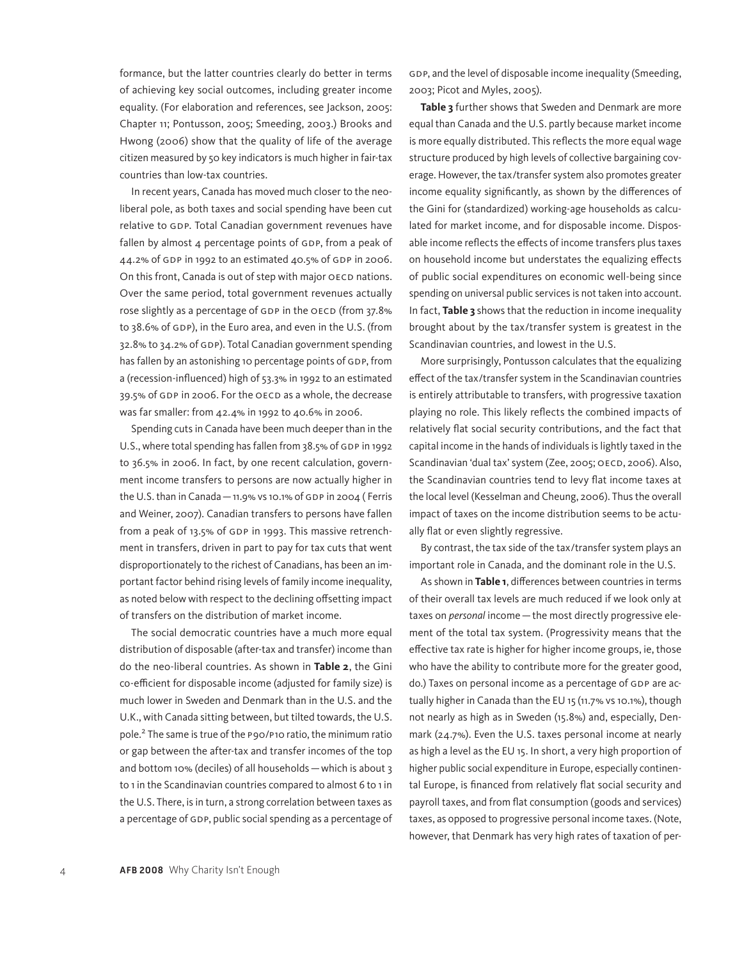formance, but the latter countries clearly do better in terms of achieving key social outcomes, including greater income equality. (For elaboration and references, see Jackson, 2005: Chapter 11; Pontusson, 2005; Smeeding, 2003.) Brooks and Hwong (2006) show that the quality of life of the average citizen measured by 50 key indicators is much higher in fair-tax countries than low-tax countries.

In recent years, Canada has moved much closer to the neoliberal pole, as both taxes and social spending have been cut relative to GDP. Total Canadian government revenues have fallen by almost 4 percentage points of GDP, from a peak of 44.2% of GDP in 1992 to an estimated 40.5% of GDP in 2006. On this front, Canada is out of step with major OECD nations. Over the same period, total government revenues actually rose slightly as a percentage of GDP in the OECD (from 37.8% to 38.6% of GDP), in the Euro area, and even in the U.S. (from 32.8% to 34.2% of GDP). Total Canadian government spending has fallen by an astonishing 10 percentage points of GDP, from a (recession-influenced) high of 53.3% in 1992 to an estimated 39.5% of GDP in 2006. For the OECD as a whole, the decrease was far smaller: from 42.4% in 1992 to 40.6% in 2006.

Spending cuts in Canada have been much deeper than in the U.S., where total spending has fallen from 38.5% of GDP in 1992 to 36.5% in 2006. In fact, by one recent calculation, government income transfers to persons are now actually higher in the U.S. than in Canada—11.9% vs 10.1% of GDP in 2004 ( Ferris and Weiner, 2007). Canadian transfers to persons have fallen from a peak of 13.5% of GDP in 1993. This massive retrenchment in transfers, driven in part to pay for tax cuts that went disproportionately to the richest of Canadians, has been an important factor behind rising levels of family income inequality, as noted below with respect to the declining offsetting impact of transfers on the distribution of market income.

The social democratic countries have a much more equal distribution of disposable (after-tax and transfer) income than do the neo-liberal countries. As shown in **Table 2**, the Gini co-efficient for disposable income (adjusted for family size) is much lower in Sweden and Denmark than in the U.S. and the U.K., with Canada sitting between, but tilted towards, the U.S. pole.<sup>2</sup> The same is true of the P90/P10 ratio, the minimum ratio or gap between the after-tax and transfer incomes of the top and bottom 10% (deciles) of all households—which is about 3 to 1 in the Scandinavian countries compared to almost 6 to 1 in the U.S. There, is in turn, a strong correlation between taxes as a percentage of GDP, public social spending as a percentage of

GDP, and the level of disposable income inequality (Smeeding, 2003; Picot and Myles, 2005).

**Table 3** further shows that Sweden and Denmark are more equal than Canada and the U.S. partly because market income is more equally distributed. This reflects the more equal wage structure produced by high levels of collective bargaining coverage. However, the tax/transfer system also promotes greater income equality significantly, as shown by the differences of the Gini for (standardized) working-age households as calculated for market income, and for disposable income. Disposable income reflects the effects of income transfers plus taxes on household income but understates the equalizing effects of public social expenditures on economic well-being since spending on universal public services is not taken into account. In fact, **Table 3** shows that the reduction in income inequality brought about by the tax/transfer system is greatest in the Scandinavian countries, and lowest in the U.S.

More surprisingly, Pontusson calculates that the equalizing effect of the tax/transfer system in the Scandinavian countries is entirely attributable to transfers, with progressive taxation playing no role. This likely reflects the combined impacts of relatively flat social security contributions, and the fact that capital income in the hands of individuals is lightly taxed in the Scandinavian 'dual tax' system (Zee, 2005; OECD, 2006). Also, the Scandinavian countries tend to levy flat income taxes at the local level (Kesselman and Cheung, 2006). Thus the overall impact of taxes on the income distribution seems to be actually flat or even slightly regressive.

By contrast, the tax side of the tax/transfer system plays an important role in Canada, and the dominant role in the U.S.

As shown in **Table 1**, differences between countries in terms of their overall tax levels are much reduced if we look only at taxes on *personal* income—the most directly progressive element of the total tax system. (Progressivity means that the effective tax rate is higher for higher income groups, ie, those who have the ability to contribute more for the greater good, do.) Taxes on personal income as a percentage of GDP are actually higher in Canada than the EU 15 (11.7% vs 10.1%), though not nearly as high as in Sweden (15.8%) and, especially, Denmark (24.7%). Even the U.S. taxes personal income at nearly as high a level as the EU 15. In short, a very high proportion of higher public social expenditure in Europe, especially continental Europe, is financed from relatively flat social security and payroll taxes, and from flat consumption (goods and services) taxes, as opposed to progressive personal income taxes. (Note, however, that Denmark has very high rates of taxation of per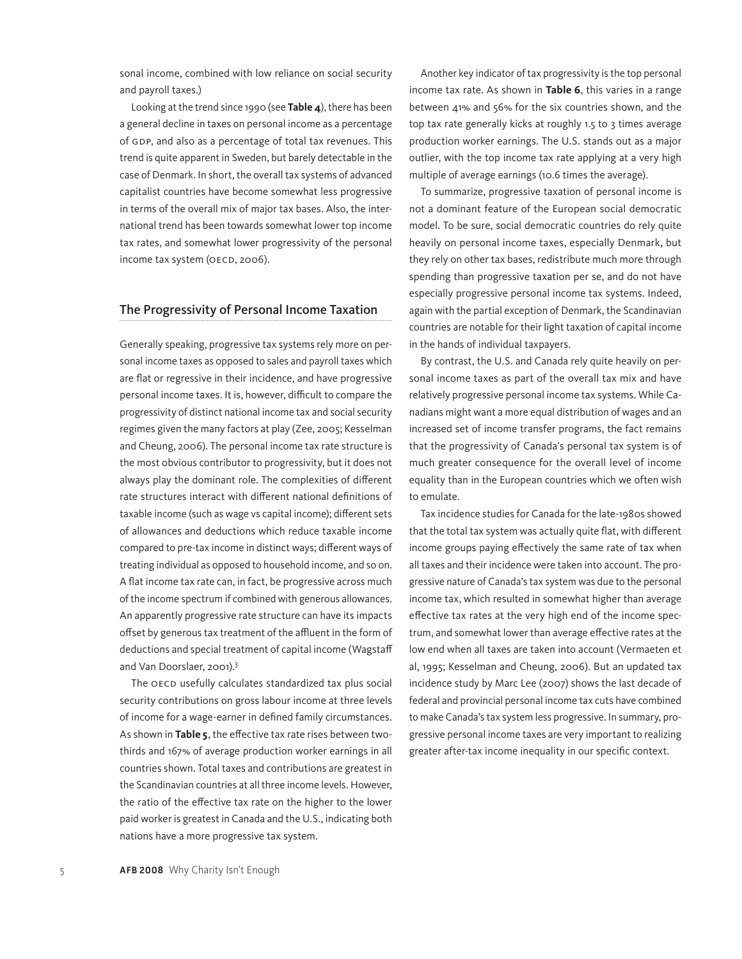sonal income, combined with low reliance on social security and payroll taxes.)

Looking at the trend since 1990 (see **Table 4**), there has been a general decline in taxes on personal income as a percentage of GDP, and also as a percentage of total tax revenues. This trend is quite apparent in Sweden, but barely detectable in the case of Denmark. In short, the overall tax systems of advanced capitalist countries have become somewhat less progressive in terms of the overall mix of major tax bases. Also, the international trend has been towards somewhat lower top income tax rates, and somewhat lower progressivity of the personal income tax system (OECD, 2006).

# The Progressivity of Personal Income Taxation

Generally speaking, progressive tax systems rely more on personal income taxes as opposed to sales and payroll taxes which are flat or regressive in their incidence, and have progressive personal income taxes. It is, however, difficult to compare the progressivity of distinct national income tax and social security regimes given the many factors at play (Zee, 2005; Kesselman and Cheung, 2006). The personal income tax rate structure is the most obvious contributor to progressivity, but it does not always play the dominant role. The complexities of different rate structures interact with different national definitions of taxable income (such as wage vs capital income); different sets of allowances and deductions which reduce taxable income compared to pre-tax income in distinct ways; different ways of treating individual as opposed to household income, and so on. A flat income tax rate can, in fact, be progressive across much of the income spectrum if combined with generous allowances. An apparently progressive rate structure can have its impacts offset by generous tax treatment of the affluent in the form of deductions and special treatment of capital income (Wagstaff and Van Doorslaer, 2001).3

The OECD usefully calculates standardized tax plus social security contributions on gross labour income at three levels of income for a wage-earner in defined family circumstances. As shown in **Table 5**, the effective tax rate rises between twothirds and 167% of average production worker earnings in all countries shown. Total taxes and contributions are greatest in the Scandinavian countries at all three income levels. However, the ratio of the effective tax rate on the higher to the lower paid worker is greatest in Canada and the U.S., indicating both nations have a more progressive tax system.

Another key indicator of tax progressivity is the top personal income tax rate. As shown in **Table 6**, this varies in a range between 41% and 56% for the six countries shown, and the top tax rate generally kicks at roughly 1.5 to 3 times average production worker earnings. The U.S. stands out as a major outlier, with the top income tax rate applying at a very high multiple of average earnings (10.6 times the average).

To summarize, progressive taxation of personal income is not a dominant feature of the European social democratic model. To be sure, social democratic countries do rely quite heavily on personal income taxes, especially Denmark, but they rely on other tax bases, redistribute much more through spending than progressive taxation per se, and do not have especially progressive personal income tax systems. Indeed, again with the partial exception of Denmark, the Scandinavian countries are notable for their light taxation of capital income in the hands of individual taxpayers.

By contrast, the U.S. and Canada rely quite heavily on personal income taxes as part of the overall tax mix and have relatively progressive personal income tax systems. While Canadians might want a more equal distribution of wages and an increased set of income transfer programs, the fact remains that the progressivity of Canada's personal tax system is of much greater consequence for the overall level of income equality than in the European countries which we often wish to emulate.

Tax incidence studies for Canada for the late-1980s showed that the total tax system was actually quite flat, with different income groups paying effectively the same rate of tax when all taxes and their incidence were taken into account. The progressive nature of Canada's tax system was due to the personal income tax, which resulted in somewhat higher than average effective tax rates at the very high end of the income spectrum, and somewhat lower than average effective rates at the low end when all taxes are taken into account (Vermaeten et al, 1995; Kesselman and Cheung, 2006). But an updated tax incidence study by Marc Lee (2007) shows the last decade of federal and provincial personal income tax cuts have combined to make Canada's tax system less progressive. In summary, progressive personal income taxes are very important to realizing greater after-tax income inequality in our specific context.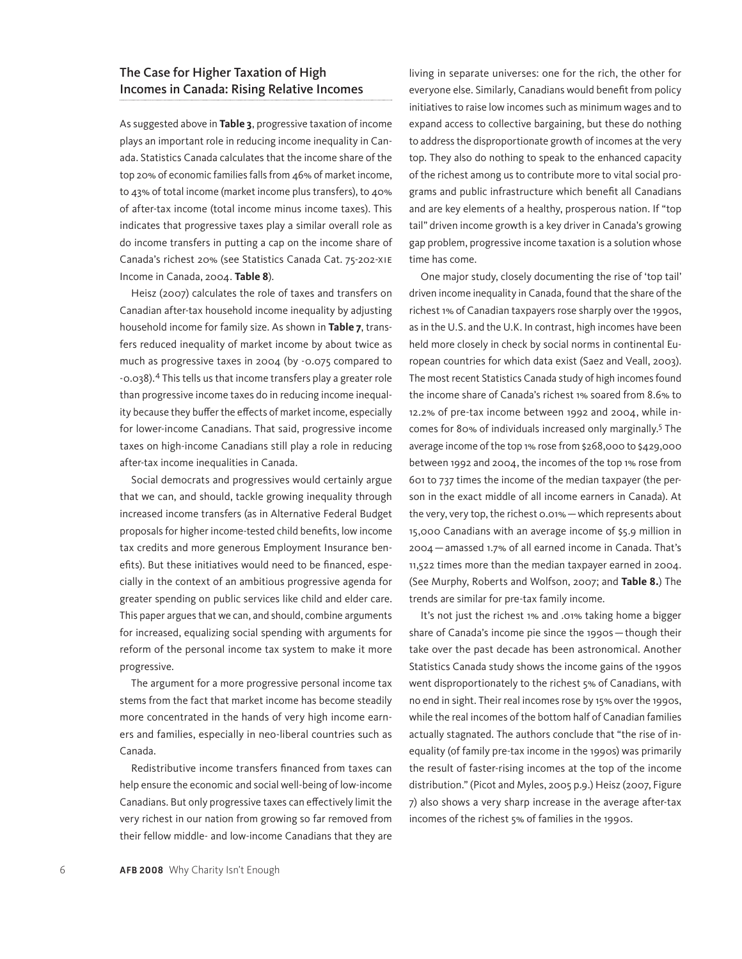# The Case for Higher Taxation of High Incomes in Canada: Rising Relative Incomes

As suggested above in **Table 3**, progressive taxation of income plays an important role in reducing income inequality in Canada. Statistics Canada calculates that the income share of the top 20% of economic families falls from 46% of market income, to 43% of total income (market income plus transfers), to 40% of after-tax income (total income minus income taxes). This indicates that progressive taxes play a similar overall role as do income transfers in putting a cap on the income share of Canada's richest 20% (see Statistics Canada Cat. 75-202-XIE Income in Canada, 2004. **Table 8**).

Heisz (2007) calculates the role of taxes and transfers on Canadian after-tax household income inequality by adjusting household income for family size. As shown in **Table 7**, transfers reduced inequality of market income by about twice as much as progressive taxes in 2004 (by -0.075 compared to -0.038).4 This tells us that income transfers play a greater role than progressive income taxes do in reducing income inequality because they buffer the effects of market income, especially for lower-income Canadians. That said, progressive income taxes on high-income Canadians still play a role in reducing after-tax income inequalities in Canada.

Social democrats and progressives would certainly argue that we can, and should, tackle growing inequality through increased income transfers (as in Alternative Federal Budget proposals for higher income-tested child benefits, low income tax credits and more generous Employment Insurance benefits). But these initiatives would need to be financed, especially in the context of an ambitious progressive agenda for greater spending on public services like child and elder care. This paper argues that we can, and should, combine arguments for increased, equalizing social spending with arguments for reform of the personal income tax system to make it more progressive.

The argument for a more progressive personal income tax stems from the fact that market income has become steadily more concentrated in the hands of very high income earners and families, especially in neo-liberal countries such as Canada.

Redistributive income transfers financed from taxes can help ensure the economic and social well-being of low-income Canadians. But only progressive taxes can effectively limit the very richest in our nation from growing so far removed from their fellow middle- and low-income Canadians that they are living in separate universes: one for the rich, the other for everyone else. Similarly, Canadians would benefit from policy initiatives to raise low incomes such as minimum wages and to expand access to collective bargaining, but these do nothing to address the disproportionate growth of incomes at the very top. They also do nothing to speak to the enhanced capacity of the richest among us to contribute more to vital social programs and public infrastructure which benefit all Canadians and are key elements of a healthy, prosperous nation. If "top tail" driven income growth is a key driver in Canada's growing gap problem, progressive income taxation is a solution whose time has come.

One major study, closely documenting the rise of 'top tail' driven income inequality in Canada, found that the share of the richest 1% of Canadian taxpayers rose sharply over the 1990s, as in the U.S. and the U.K. In contrast, high incomes have been held more closely in check by social norms in continental European countries for which data exist (Saez and Veall, 2003). The most recent Statistics Canada study of high incomes found the income share of Canada's richest 1% soared from 8.6% to 12.2% of pre-tax income between 1992 and 2004, while incomes for 80% of individuals increased only marginally.<sup>5</sup> The average income of the top 1% rose from \$268,000 to \$429,000 between 1992 and 2004, the incomes of the top 1% rose from 601 to 737 times the income of the median taxpayer (the person in the exact middle of all income earners in Canada). At the very, very top, the richest 0.01%—which represents about 15,000 Canadians with an average income of \$5.9 million in 2004—amassed 1.7% of all earned income in Canada. That's 11,522 times more than the median taxpayer earned in 2004. (See Murphy, Roberts and Wolfson, 2007; and **Table 8.**) The trends are similar for pre-tax family income.

It's not just the richest 1% and .01% taking home a bigger share of Canada's income pie since the 1990s—though their take over the past decade has been astronomical. Another Statistics Canada study shows the income gains of the 1990s went disproportionately to the richest 5% of Canadians, with no end in sight. Their real incomes rose by 15% over the 1990s, while the real incomes of the bottom half of Canadian families actually stagnated. The authors conclude that "the rise of inequality (of family pre-tax income in the 1990s) was primarily the result of faster-rising incomes at the top of the income distribution." (Picot and Myles, 2005 p.9.) Heisz (2007, Figure 7) also shows a very sharp increase in the average after-tax incomes of the richest 5% of families in the 1990s.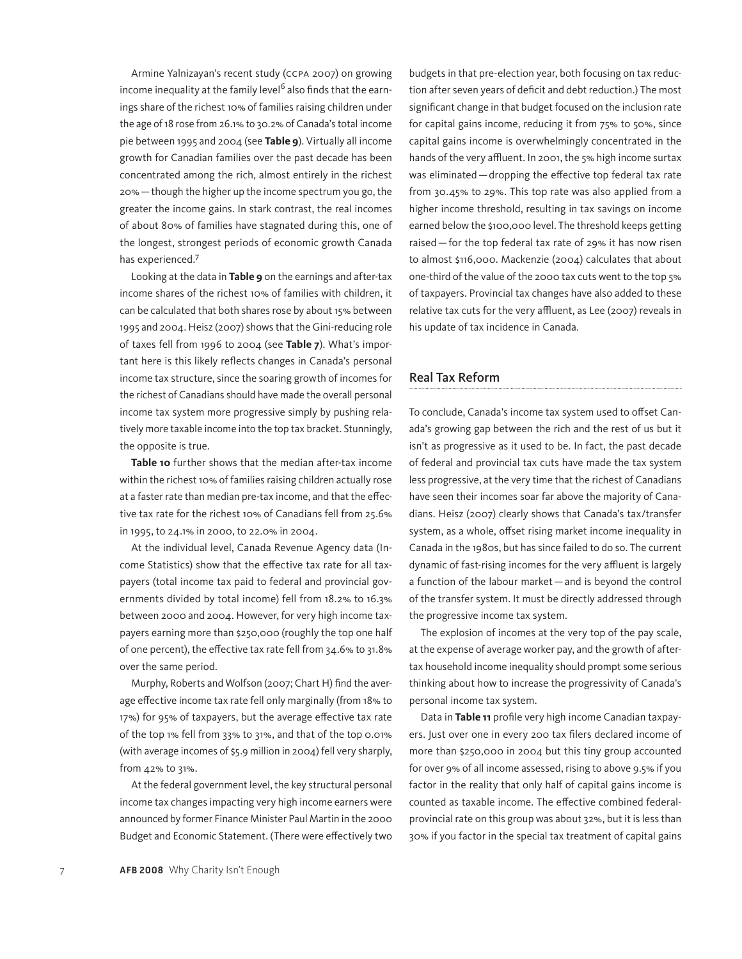Armine Yalnizayan's recent study (CCPA 2007) on growing income inequality at the family level<sup>6</sup> also finds that the earnings share of the richest 10% of families raising children under the age of 18 rose from 26.1% to 30.2% of Canada's total income pie between 1995 and 2004 (see **Table 9**). Virtually all income growth for Canadian families over the past decade has been concentrated among the rich, almost entirely in the richest 20%—though the higher up the income spectrum you go, the greater the income gains. In stark contrast, the real incomes of about 80% of families have stagnated during this, one of the longest, strongest periods of economic growth Canada has experienced.<sup>7</sup>

Looking at the data in **Table 9** on the earnings and after-tax income shares of the richest 10% of families with children, it can be calculated that both shares rose by about 15% between 1995 and 2004. Heisz (2007) shows that the Gini-reducing role of taxes fell from 1996 to 2004 (see **Table 7**). What's important here is this likely reflects changes in Canada's personal income tax structure, since the soaring growth of incomes for the richest of Canadians should have made the overall personal income tax system more progressive simply by pushing relatively more taxable income into the top tax bracket. Stunningly, the opposite is true.

**Table 10** further shows that the median after-tax income within the richest 10% of families raising children actually rose at a faster rate than median pre-tax income, and that the effective tax rate for the richest 10% of Canadians fell from 25.6% in 1995, to 24.1% in 2000, to 22.0% in 2004.

At the individual level, Canada Revenue Agency data (Income Statistics) show that the effective tax rate for all taxpayers (total income tax paid to federal and provincial governments divided by total income) fell from 18.2% to 16.3% between 2000 and 2004. However, for very high income taxpayers earning more than \$250,000 (roughly the top one half of one percent), the effective tax rate fell from 34.6% to 31.8% over the same period.

Murphy, Roberts and Wolfson (2007; Chart H) find the average effective income tax rate fell only marginally (from 18% to 17%) for 95% of taxpayers, but the average effective tax rate of the top 1% fell from 33% to 31%, and that of the top 0.01% (with average incomes of \$5.9 million in 2004) fell very sharply, from 42% to 31%.

At the federal government level, the key structural personal income tax changes impacting very high income earners were announced by former Finance Minister Paul Martin in the 2000 Budget and Economic Statement. (There were effectively two budgets in that pre-election year, both focusing on tax reduction after seven years of deficit and debt reduction.) The most significant change in that budget focused on the inclusion rate for capital gains income, reducing it from 75% to 50%, since capital gains income is overwhelmingly concentrated in the hands of the very affluent. In 2001, the 5% high income surtax was eliminated—dropping the effective top federal tax rate from 30.45% to 29%. This top rate was also applied from a higher income threshold, resulting in tax savings on income earned below the \$100,000 level. The threshold keeps getting raised—for the top federal tax rate of 29% it has now risen to almost \$116,000. Mackenzie (2004) calculates that about one-third of the value of the 2000 tax cuts went to the top 5% of taxpayers. Provincial tax changes have also added to these relative tax cuts for the very affluent, as Lee (2007) reveals in his update of tax incidence in Canada.

## Real Tax Reform

To conclude, Canada's income tax system used to offset Canada's growing gap between the rich and the rest of us but it isn't as progressive as it used to be. In fact, the past decade of federal and provincial tax cuts have made the tax system less progressive, at the very time that the richest of Canadians have seen their incomes soar far above the majority of Canadians. Heisz (2007) clearly shows that Canada's tax/transfer system, as a whole, offset rising market income inequality in Canada in the 1980s, but has since failed to do so. The current dynamic of fast-rising incomes for the very affluent is largely a function of the labour market—and is beyond the control of the transfer system. It must be directly addressed through the progressive income tax system.

The explosion of incomes at the very top of the pay scale, at the expense of average worker pay, and the growth of aftertax household income inequality should prompt some serious thinking about how to increase the progressivity of Canada's personal income tax system.

Data in **Table 11** profile very high income Canadian taxpayers. Just over one in every 200 tax filers declared income of more than \$250,000 in 2004 but this tiny group accounted for over 9% of all income assessed, rising to above 9.5% if you factor in the reality that only half of capital gains income is counted as taxable income. The effective combined federalprovincial rate on this group was about 32%, but it is less than 30% if you factor in the special tax treatment of capital gains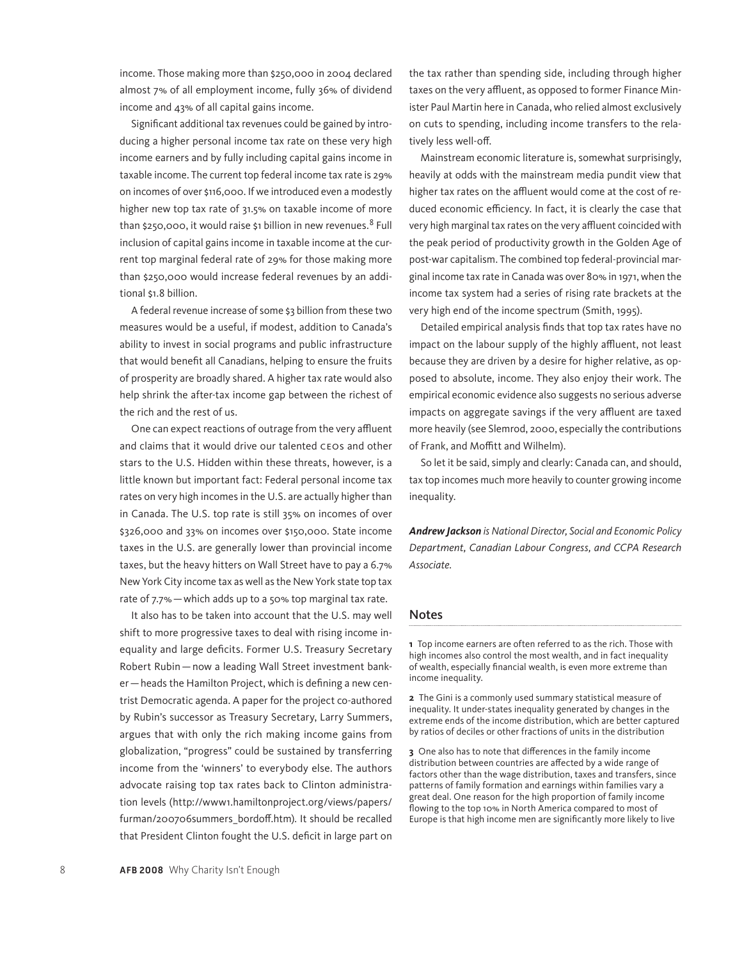income. Those making more than \$250,000 in 2004 declared almost 7% of all employment income, fully 36% of dividend income and 43% of all capital gains income.

Significant additional tax revenues could be gained by introducing a higher personal income tax rate on these very high income earners and by fully including capital gains income in taxable income. The current top federal income tax rate is 29% on incomes of over \$116,000. If we introduced even a modestly higher new top tax rate of 31.5% on taxable income of more than \$250,000, it would raise \$1 billion in new revenues.<sup>8</sup> Full inclusion of capital gains income in taxable income at the current top marginal federal rate of 29% for those making more than \$250,000 would increase federal revenues by an additional \$1.8 billion.

A federal revenue increase of some \$3 billion from these two measures would be a useful, if modest, addition to Canada's ability to invest in social programs and public infrastructure that would benefit all Canadians, helping to ensure the fruits of prosperity are broadly shared. A higher tax rate would also help shrink the after-tax income gap between the richest of the rich and the rest of us.

One can expect reactions of outrage from the very affluent and claims that it would drive our talented CEOs and other stars to the U.S. Hidden within these threats, however, is a little known but important fact: Federal personal income tax rates on very high incomes in the U.S. are actually higher than in Canada. The U.S. top rate is still 35% on incomes of over \$326,000 and 33% on incomes over \$150,000. State income taxes in the U.S. are generally lower than provincial income taxes, but the heavy hitters on Wall Street have to pay a 6.7% New York City income tax as well as the New York state top tax rate of 7.7%—which adds up to a 50% top marginal tax rate.

It also has to be taken into account that the U.S. may well shift to more progressive taxes to deal with rising income inequality and large deficits. Former U.S. Treasury Secretary Robert Rubin—now a leading Wall Street investment banker—heads the Hamilton Project, which is defining a new centrist Democratic agenda. A paper for the project co-authored by Rubin's successor as Treasury Secretary, Larry Summers, argues that with only the rich making income gains from globalization, "progress" could be sustained by transferring income from the 'winners' to everybody else. The authors advocate raising top tax rates back to Clinton administration levels (http://www1.hamiltonproject.org/views/papers/ furman/200706summers\_bordoff.htm)*.* It should be recalled that President Clinton fought the U.S. deficit in large part on

the tax rather than spending side, including through higher taxes on the very affluent, as opposed to former Finance Minister Paul Martin here in Canada, who relied almost exclusively on cuts to spending, including income transfers to the relatively less well-off.

Mainstream economic literature is, somewhat surprisingly, heavily at odds with the mainstream media pundit view that higher tax rates on the affluent would come at the cost of reduced economic efficiency. In fact, it is clearly the case that very high marginal tax rates on the very affluent coincided with the peak period of productivity growth in the Golden Age of post-war capitalism. The combined top federal-provincial marginal income tax rate in Canada was over 80% in 1971, when the income tax system had a series of rising rate brackets at the very high end of the income spectrum (Smith, 1995).

Detailed empirical analysis finds that top tax rates have no impact on the labour supply of the highly affluent, not least because they are driven by a desire for higher relative, as opposed to absolute, income. They also enjoy their work. The empirical economic evidence also suggests no serious adverse impacts on aggregate savings if the very affluent are taxed more heavily (see Slemrod, 2000, especially the contributions of Frank, and Moffitt and Wilhelm).

So let it be said, simply and clearly: Canada can, and should, tax top incomes much more heavily to counter growing income inequality.

*Andrew Jackson is National Director, Social and Economic Policy Department, Canadian Labour Congress, and CCPA Research Associate.*

#### Notes

**1** Top income earners are often referred to as the rich. Those with high incomes also control the most wealth, and in fact inequality of wealth, especially financial wealth, is even more extreme than income inequality.

**2** The Gini is a commonly used summary statistical measure of inequality. It under-states inequality generated by changes in the extreme ends of the income distribution, which are better captured by ratios of deciles or other fractions of units in the distribution

**3** One also has to note that differences in the family income distribution between countries are affected by a wide range of factors other than the wage distribution, taxes and transfers, since patterns of family formation and earnings within families vary a great deal. One reason for the high proportion of family income flowing to the top 10% in North America compared to most of Europe is that high income men are significantly more likely to live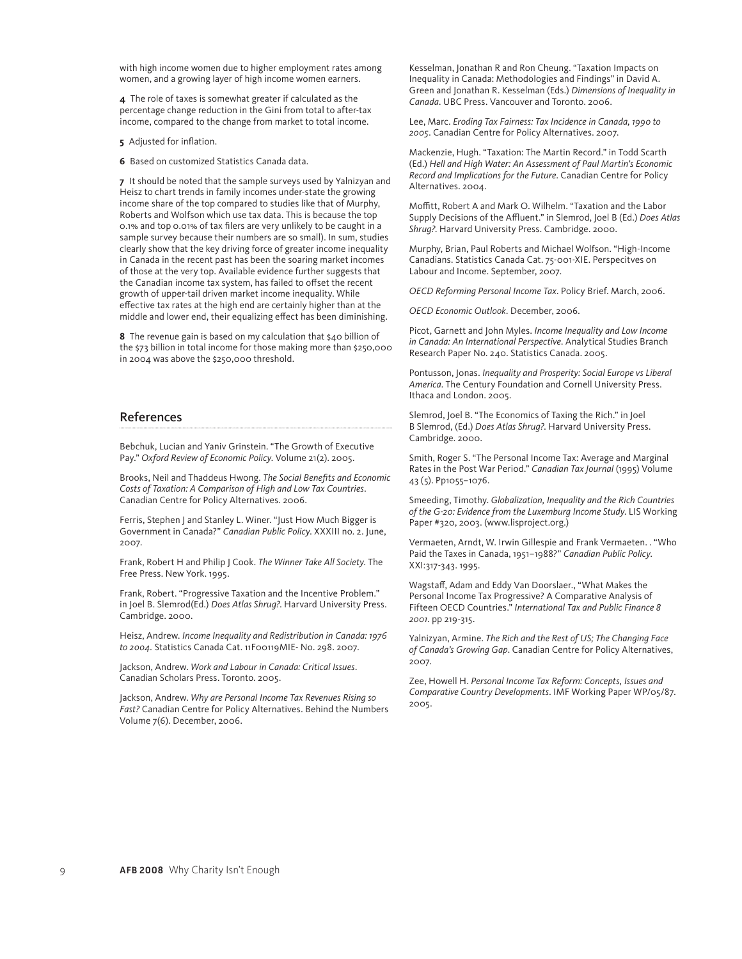with high income women due to higher employment rates among women, and a growing layer of high income women earners.

**4** The role of taxes is somewhat greater if calculated as the percentage change reduction in the Gini from total to after-tax income, compared to the change from market to total income.

**5** Adjusted for inflation.

**6** Based on customized Statistics Canada data.

**7** It should be noted that the sample surveys used by Yalnizyan and Heisz to chart trends in family incomes under-state the growing income share of the top compared to studies like that of Murphy, Roberts and Wolfson which use tax data. This is because the top 0.1% and top 0.01% of tax filers are very unlikely to be caught in a sample survey because their numbers are so small). In sum, studies clearly show that the key driving force of greater income inequality in Canada in the recent past has been the soaring market incomes of those at the very top. Available evidence further suggests that the Canadian income tax system, has failed to offset the recent growth of upper-tail driven market income inequality. While effective tax rates at the high end are certainly higher than at the middle and lower end, their equalizing effect has been diminishing.

**8** The revenue gain is based on my calculation that \$40 billion of the \$73 billion in total income for those making more than \$250,000 in 2004 was above the \$250,000 threshold.

## References

Bebchuk, Lucian and Yaniv Grinstein. "The Growth of Executive Pay." *Oxford Review of Economic Policy*. Volume 21(2). 2005.

Brooks, Neil and Thaddeus Hwong. *The Social Benefits and Economic Costs of Taxation: A Comparison of High and Low Tax Countries*. Canadian Centre for Policy Alternatives. 2006.

Ferris, Stephen J and Stanley L. Winer. "Just How Much Bigger is Government in Canada?" *Canadian Public Policy*. XXXIII no. 2. June, 2007.

Frank, Robert H and Philip J Cook. *The Winner Take All Society*. The Free Press. New York. 1995.

Frank, Robert. "Progressive Taxation and the Incentive Problem." in Joel B. Slemrod(Ed.) *Does Atlas Shrug?*. Harvard University Press. Cambridge. 2000.

Heisz, Andrew. *Income Inequality and Redistribution in Canada: 1976 to 2004.* Statistics Canada Cat. 11F00119MIE- No. 298. 2007.

Jackson, Andrew. *Work and Labour in Canada: Critical Issues*. Canadian Scholars Press. Toronto. 2005.

Jackson, Andrew. *Why are Personal Income Tax Revenues Rising so Fast?* Canadian Centre for Policy Alternatives. Behind the Numbers Volume 7(6). December, 2006.

Kesselman, Jonathan R and Ron Cheung. "Taxation Impacts on Inequality in Canada: Methodologies and Findings" in David A. Green and Jonathan R. Kesselman (Eds.) *Dimensions of Inequality in Canada*. UBC Press. Vancouver and Toronto. 2006.

Lee, Marc. *Eroding Tax Fairness: Tax Incidence in Canada, 1990 to 2005*. Canadian Centre for Policy Alternatives. 2007.

Mackenzie, Hugh. "Taxation: The Martin Record." in Todd Scarth (Ed.) *Hell and High Water: An Assessment of Paul Martin's Economic Record and Implications for the Future*. Canadian Centre for Policy Alternatives. 2004.

Moffitt, Robert A and Mark O. Wilhelm. "Taxation and the Labor Supply Decisions of the Affluent." in Slemrod, Joel B (Ed.) *Does Atlas Shrug?*. Harvard University Press. Cambridge. 2000.

Murphy, Brian, Paul Roberts and Michael Wolfson. "High-Income Canadians. Statistics Canada Cat. 75-001-XIE. Perspecitves on Labour and Income. September, 2007.

*OECD Reforming Personal Income Tax*. Policy Brief. March, 2006.

*OECD Economic Outlook*. December, 2006.

Picot, Garnett and John Myles. *Income Inequality and Low Income in Canada: An International Perspective*. Analytical Studies Branch Research Paper No. 240. Statistics Canada. 2005.

Pontusson, Jonas. *Inequality and Prosperity: Social Europe vs Liberal America*. The Century Foundation and Cornell University Press. Ithaca and London. 2005.

Slemrod, Joel B. "The Economics of Taxing the Rich." in Joel B Slemrod, (Ed.) *Does Atlas Shrug?*. Harvard University Press. Cambridge. 2000.

Smith, Roger S. "The Personal Income Tax: Average and Marginal Rates in the Post War Period." *Canadian Tax Journal* (1995) Volume 43 (5). Pp1055–1076.

Smeeding, Timothy. *Globalization, Inequality and the Rich Countries of the G-20: Evidence from the Luxemburg Income Study*. LIS Working Paper #320, 2003. (www.lisproject.org.)

Vermaeten, Arndt, W. Irwin Gillespie and Frank Vermaeten. . "Who Paid the Taxes in Canada, 1951–1988?" *Canadian Public Policy*. XXI:317-343. 1995.

Wagstaff, Adam and Eddy Van Doorslaer., "What Makes the Personal Income Tax Progressive? A Comparative Analysis of Fifteen OECD Countries." *International Tax and Public Finance 8 2001*. pp 219-315.

Yalnizyan, Armine. *The Rich and the Rest of US; The Changing Face of Canada's Growing Gap*. Canadian Centre for Policy Alternatives, 2007.

Zee, Howell H. *Personal Income Tax Reform: Concepts, Issues and Comparative Country Developments*. IMF Working Paper WP/05/87. 2005.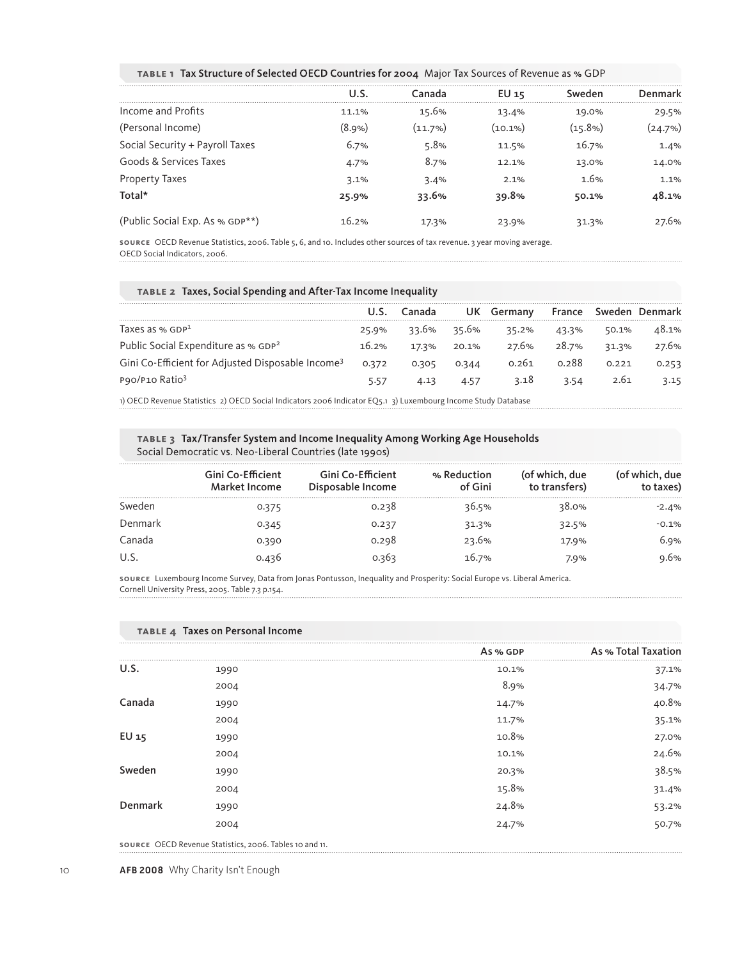**TABLE 1** Tax Structure of Selected OECD Countries for 2004 Major Tax Sources of Revenue as % GDP

|                                 | U.S.   | Canada     | EU 15   | Sweden  | Denmark |
|---------------------------------|--------|------------|---------|---------|---------|
| Income and Profits              | 11.1%  | 15.6%      | 13.4%   | 19.0%   | 29.5%   |
| (Personal Income)               | (8.9%) | $(11.7\%)$ | (10.1%) | (15.8%) | (24.7%) |
| Social Security + Payroll Taxes | 6.7%   | 5.8%       | 11.5%   | 16.7%   | 1.4%    |
| Goods & Services Taxes          | 4.7%   | 8.7%       | 12.1%   | 13.0%   | 14.0%   |
| <b>Property Taxes</b>           | 3.1%   | 3.4%       | 2.1%    | 1.6%    | 1.1%    |
| Total*                          | 25.9%  | 33.6%      | 39.8%   | 50.1%   | 48.1%   |
| (Public Social Exp. As % GDP**) | 16.2%  | 17.3%      | 23.9%   | 31.3%   | 27.6%   |
|                                 |        |            |         |         |         |

**SOURCE** OECD Revenue Statistics, 2006. Table 5, 6, and 10. Includes other sources of tax revenue. 3 year moving average. OECD Social Indicators, 2006.

|  |  | TABLE 2 Taxes, Social Spending and After-Tax Income Inequality |  |
|--|--|----------------------------------------------------------------|--|
|--|--|----------------------------------------------------------------|--|

|                                                               |       |       | UK.   | Germany | France | Sweden | Denmark |
|---------------------------------------------------------------|-------|-------|-------|---------|--------|--------|---------|
| Taxes as $%$ GDP $1$                                          | 25.9% | 33.6% | 35.6% | 35.2%   | 43.3%  | 50.1%  | 48.1%   |
| Public Social Expenditure as % GDP <sup>2</sup>               | 16.2% | 17.3% | 20.1% | 27.6%   | 28.7%  | 31.3%  | 27.6%   |
| Gini Co-Efficient for Adjusted Disposable Income <sup>3</sup> | 0.372 | 0.305 | 0.344 | 0.261   | 0.288  | 0.221  | 0.253   |
| P90/P10 Ratio <sup>3</sup>                                    |       |       | 4.57  | 3.18    | 3.54   | 2.61   |         |

1) OECD Revenue Statistics 2) OECD Social Indicators 2006 Indicator EQ5.1 3) Luxembourg Income Study Database

**TABLE 3** Tax/Transfer System and Income Inequality Among Working Age Households Social Democratic vs. Neo-Liberal Countries (late 1990s)

| Gini Co-Efficient<br><b>Market Income</b> | Gini Co-Efficient<br>Disposable Income | % Reduction<br>of Gini | (of which, due<br>to transfers) | which, due<br>to taxes) |
|-------------------------------------------|----------------------------------------|------------------------|---------------------------------|-------------------------|
| 5.375                                     | .238                                   | 36.5%                  | २४.०%                           | $-2.4%$                 |
| 0.345                                     | 0.237                                  | 31.3%                  | 32.5%                           | $-0.1%$                 |
| 0.390                                     | 0.298                                  | 23.6%                  | 17.9%                           | 5.9%                    |
| 13h                                       |                                        | 16.7%                  | 7.9%                            | .6%                     |
|                                           |                                        |                        |                                 |                         |

**SOURCE** Luxembourg Income Survey, Data from Jonas Pontusson, Inequality and Prosperity: Social Europe vs. Liberal America. Cornell University Press, 2005. Table 7.3 p.154.

|         | <b>TABLE 4 Taxes on Personal Income</b>                 |          |                     |
|---------|---------------------------------------------------------|----------|---------------------|
|         |                                                         | As % GDP | As % Total Taxation |
| U.S.    | 1990                                                    | 10.1%    | 37.1%               |
|         | 2004                                                    | 8.9%     | 34.7%               |
| Canada  | 1990                                                    | 14.7%    | 40.8%               |
|         | 2004                                                    | 11.7%    | 35.1%               |
| EU 15   | 1990                                                    | 10.8%    | 27.0%               |
|         | 2004                                                    | 10.1%    | 24.6%               |
| Sweden  | 1990                                                    | 20.3%    | 38.5%               |
|         | 2004                                                    | 15.8%    | 31.4%               |
| Denmark | 1990                                                    | 24.8%    | 53.2%               |
|         | 2004                                                    | 24.7%    | 50.7%               |
|         | SOURCE OECD Revenue Statistics, 2006. Tables 10 and 11. |          |                     |

10 **AFB 2008** Why Charity Isn't Enough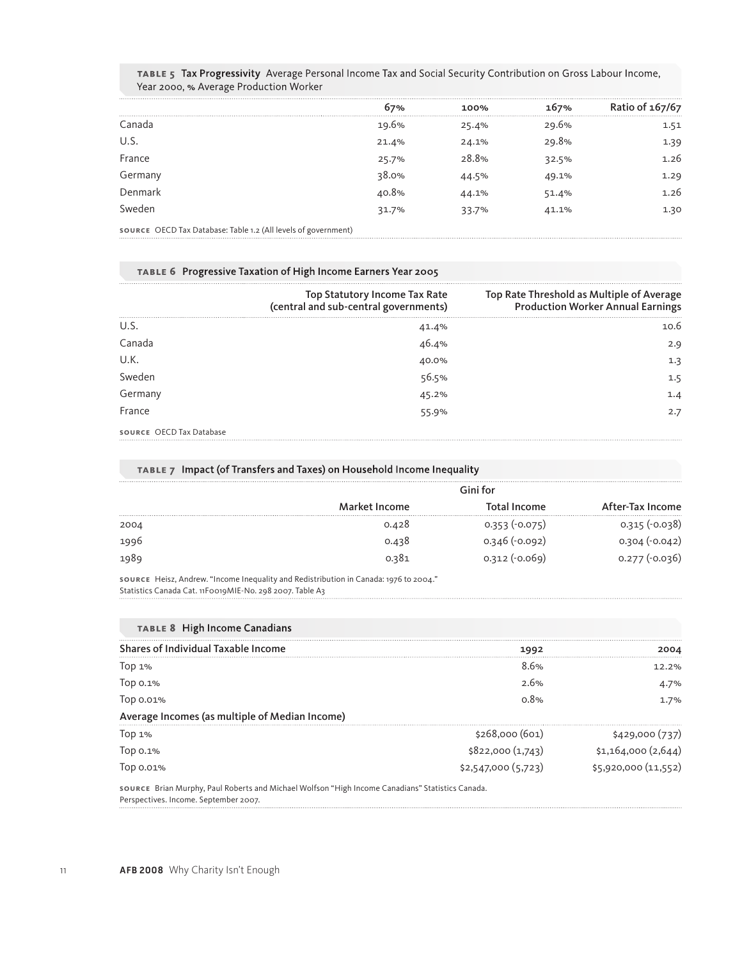|                                                                                                                                                                                                                                                                                                                                                                                                                                                              | 67%   | 100%  | 167%  | Ratio of 167/67 |
|--------------------------------------------------------------------------------------------------------------------------------------------------------------------------------------------------------------------------------------------------------------------------------------------------------------------------------------------------------------------------------------------------------------------------------------------------------------|-------|-------|-------|-----------------|
| Canada                                                                                                                                                                                                                                                                                                                                                                                                                                                       | 19.6% | 25.4% | 29.6% | 1.51            |
| U.S.                                                                                                                                                                                                                                                                                                                                                                                                                                                         | 21.4% | 24.1% | 29.8% | 1.39            |
| France                                                                                                                                                                                                                                                                                                                                                                                                                                                       | 25.7% | 28.8% | 32.5% | 1.26            |
| Germany                                                                                                                                                                                                                                                                                                                                                                                                                                                      | 38.0% | 44.5% | 49.1% | 1.29            |
| Denmark                                                                                                                                                                                                                                                                                                                                                                                                                                                      | 40.8% | 44.1% | 51.4% | 1.26            |
| Sweden                                                                                                                                                                                                                                                                                                                                                                                                                                                       | 31.7% | 33.7% | 41.1% | 1.30            |
| $\mathcal{L} = \mathcal{L} = \mathcal{L} = \mathcal{L} = \mathcal{L} = \mathcal{L} = \mathcal{L} = \mathcal{L} = \mathcal{L} = \mathcal{L} = \mathcal{L} = \mathcal{L} = \mathcal{L} = \mathcal{L} = \mathcal{L} = \mathcal{L} = \mathcal{L} = \mathcal{L} = \mathcal{L} = \mathcal{L} = \mathcal{L} = \mathcal{L} = \mathcal{L} = \mathcal{L} = \mathcal{L} = \mathcal{L} = \mathcal{L} = \mathcal{L} = \mathcal{L} = \mathcal{L} = \mathcal{L} = \mathcal$ |       |       |       |                 |

TABLE 5 Tax Progressivity Average Personal Income Tax and Social Security Contribution on Gross Labour Income, Year 2000, % Average Production Worker

# **SOURCE** OECD Tax Database: Table 1.2 (All levels of government)

|  |  | TABLE 6 Progressive Taxation of High Income Earners Year 2005 |  |  |
|--|--|---------------------------------------------------------------|--|--|
|--|--|---------------------------------------------------------------|--|--|

|                          | Top Statutory Income Tax Rate<br>(central and sub-central governments) | Top Rate Threshold as Multiple of Average<br>Production Worker Annual Earnings |
|--------------------------|------------------------------------------------------------------------|--------------------------------------------------------------------------------|
| U.S.                     |                                                                        | 10.6                                                                           |
| Canada                   | 41.4%<br>46.4%                                                         | 2.9                                                                            |
| U.K.                     | 40.0%                                                                  | 1.3                                                                            |
| Sweden                   | 56.5%                                                                  |                                                                                |
| Germany                  | 45.2%                                                                  |                                                                                |
| France                   | 55.9%                                                                  | 2.7                                                                            |
| SOURCE OECD Tax Database |                                                                        |                                                                                |

# **TABLE 7** Impact (of Transfers and Taxes) on Household Income Inequality

|      | Gini for      |                 |                  |  |  |
|------|---------------|-----------------|------------------|--|--|
|      | Market Income | Total Income    | After-Tax Income |  |  |
| 2004 | 0.428         | $0.353(-0.075)$ | 0.315 (-0.038)   |  |  |
| 1996 | 0.438         | $0.346(-0.092)$ | $0.304 (-0.042)$ |  |  |
| 1989 | 0.381         | $0.312(-0.069)$ | $0.277(-0.036)$  |  |  |

**SOURCE** Heisz, Andrew. "Income Inequality and Redistribution in Canada: 1976 to 2004." Statistics Canada Cat. 11F0019MIE-No. 298 2007. Table A3

| <b>TABLE 8 High Income Canadians</b>           |                    |                      |
|------------------------------------------------|--------------------|----------------------|
| Shares of Individual Taxable Income            | 1992               | 2004                 |
| Top $1%$                                       | 8.6%               | 12.2%                |
| Top 0.1%                                       | 2.6%               | 4.7%                 |
| Top 0.01%                                      | 0.8%               | 1.7%                 |
| Average Incomes (as multiple of Median Income) |                    |                      |
| Top $1%$                                       | \$268,000(601)     | \$429,000(737)       |
|                                                | \$822,000(1,743)   | \$1,164,000(2,644)   |
| Тор 0.1%<br>Тор 0.01%                          | \$2,547,000(5,723) | \$5,920,000 (11,552) |

**SOURCE** Brian Murphy, Paul Roberts and Michael Wolfson "High Income Canadians" Statistics Canada. Perspectives. Income. September 2007.